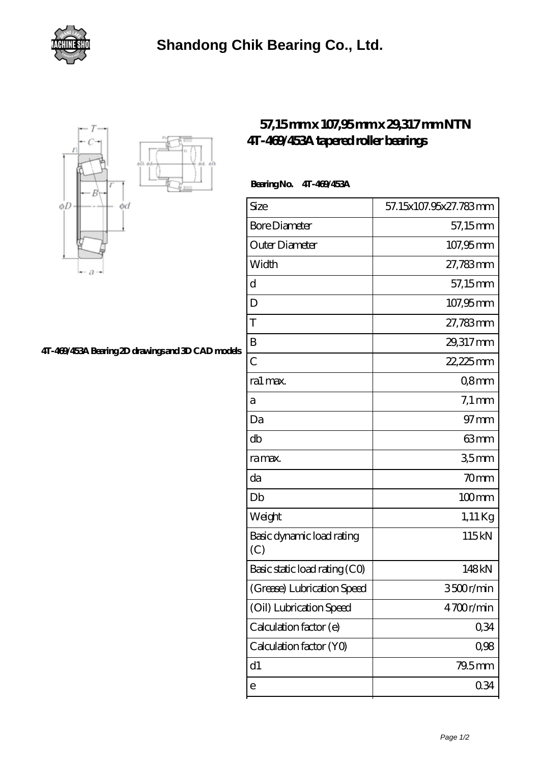



## **[4T-469/453A Bearing 2D drawings and 3D CAD models](https://gwenknighton.com/pic-352047.html)**

## **[57,15 mm x 107,95 mm x 29,317 mm NTN](https://gwenknighton.com/ntn-4t-469-453a-bearing/) [4T-469/453A tapered roller bearings](https://gwenknighton.com/ntn-4t-469-453a-bearing/)**

## **Bearing No. 4T-469/453A**

| Size                             | 57.15x107.95x27.783mm |
|----------------------------------|-----------------------|
| <b>Bore Diameter</b>             | 57,15mm               |
| Outer Diameter                   | 107,95mm              |
| Width                            | 27,783mm              |
| d                                | 57,15mm               |
| D                                | 107,95mm              |
| T                                | 27,783mm              |
| B                                | 29,317mm              |
| $\overline{C}$                   | 22,225mm              |
| ra1 max.                         | Q8mm                  |
| а                                | $7.1 \,\mathrm{mm}$   |
| Da                               | $97 \text{mm}$        |
| db                               | 63mm                  |
| ra max.                          | 35mm                  |
| da                               | 70mm                  |
| Db                               | $100$ mm              |
| Weight                           | $1,11$ Kg             |
| Basic dynamic load rating<br>(C) | 115kN                 |
| Basic static load rating (CO)    | 148kN                 |
| (Grease) Lubrication Speed       | 3500r/min             |
| (Oil) Lubrication Speed          | 4700r/min             |
| Calculation factor (e)           | 0,34                  |
| Calculation factor (YO)          | 0,98                  |
| d1                               | 79.5mm                |
| $\mathsf{e}$                     | 0.34                  |